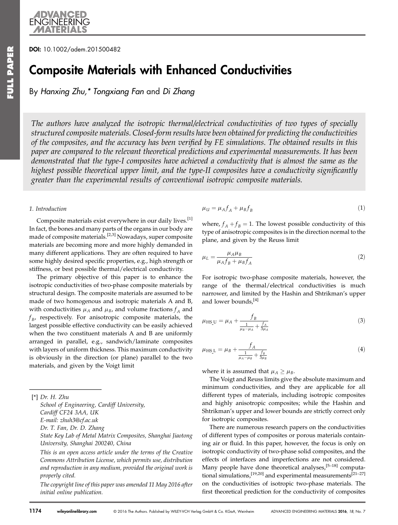# DOI: 10.1002/adem.201500482

# Composite Materials with Enhanced Conductivities

By Hanxing Zhu,\* Tongxiang Fan and Di Zhang

The authors have analyzed the isotropic thermal/electrical conductivities of two types of specially structured composite materials. Closed-form results have been obtained for predicting the conductivities of the composites, and the accuracy has been verified by FE simulations. The obtained results in this paper are compared to the relevant theoretical predictions and experimental measurements. It has been demonstrated that the type-I composites have achieved a conductivity that is almost the same as the highest possible theoretical upper limit, and the type-II composites have a conductivity significantly greater than the experimental results of conventional isotropic composite materials.

### 1. Introduction

Composite materials exist everywhere in our daily lives.<sup>[1]</sup> In fact, the bones and many parts of the organs in our body are made of composite materials.<sup>[2,3]</sup> Nowadays, super composite materials are becoming more and more highly demanded in many different applications. They are often required to have some highly desired specific properties, e.g., high strength or stiffness, or best possible thermal/electrical conductivity.

The primary objective of this paper is to enhance the isotropic conductivities of two-phase composite materials by structural design. The composite materials are assumed to be made of two homogenous and isotropic materials A and B, with conductivities  $\mu_A$  and  $\mu_B$ , and volume fractions  $f_A$  and  $f_{B}$ , respectively. For anisotropic composite materials, the largest possible effective conductivity can be easily achieved when the two constituent materials A and B are uniformly arranged in parallel, e.g., sandwich/laminate composites with layers of uniform thickness. This maximum conductivity is obviously in the direction (or plane) parallel to the two materials, and given by the Voigt limit

[\*] Dr. H. Zhu

School of Engineering, Cardiff University, Cardiff CF24 3AA, UK E-mail: zhuh3@cf.ac.uk Dr. T. Fan, Dr. D. Zhang State Key Lab of Metal Matrix Composites, Shanghai Jiaotong University, Shanghai 200240, China

This is an open access article under the terms of the [Creative](http://creativecommons.org/licenses/by/4.0/) [Commons Attribution](http://creativecommons.org/licenses/by/4.0/) License, which permits use, distribution and reproduction in any medium, provided the original work is properly cited.

The copyright line of this paper was amended 11 May 2016 after initial online publication.

$$
\mu_{\mathcal{U}} = \mu_A f_A + \mu_B f_B \tag{1}
$$

where,  $f_A + f_B = 1$ . The lowest possible conductivity of this type of anisotropic composites is in the direction normal to the plane, and given by the Reuss limit

$$
\mu_L = \frac{\mu_A \mu_B}{\mu_A f_B + \mu_B f_A} \tag{2}
$$

For isotropic two-phase composite materials, however, the range of the thermal/electrical conductivities is much narrower, and limited by the Hashin and Shtrikman's upper and lower bounds,<sup>[4]</sup>

$$
\mu_{\rm HS_{\_}U} = \mu_A + \frac{f_B}{\frac{1}{\mu_B - \mu_A} + \frac{f_A}{3\mu_A}}
$$
\n(3)

$$
\mu_{\rm HS\,L} = \mu_B + \frac{f_A}{\frac{1}{\mu_A - \mu_B} + \frac{f_B}{3\mu_B}}
$$
(4)

where it is assumed that  $\mu_A \geq \mu_B$ .

The Voigt and Reuss limits give the absolute maximum and minimum conductivities, and they are applicable for all different types of materials, including isotropic composites and highly anisotropic composites; while the Hashin and Shtrikman's upper and lower bounds are strictly correct only for isotropic composites.

There are numerous research papers on the conductivities of different types of composites or porous materials containing air or fluid. In this paper, however, the focus is only on isotropic conductivity of two-phase solid composites, and the effects of interfaces and imperfections are not considered. Many people have done theoretical analyses,  $[5-18]$  computational simulations, $[19,20]$  and experimental measurements $[21-27]$ on the conductivities of isotropic two-phase materials. The first theoretical prediction for the conductivity of composites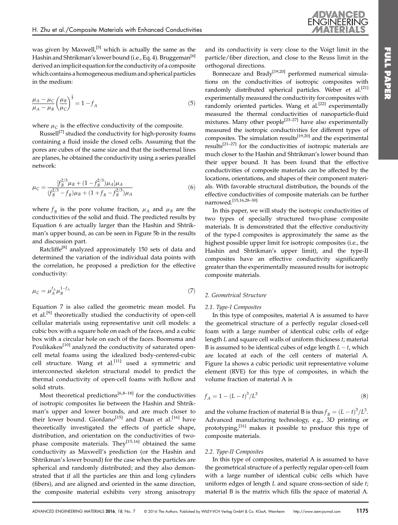was given by Maxwell,<sup>[5]</sup> which is actually the same as the Hashin and Shtrikman's lower bound (i.e., Eq. 4). Bruggeman<sup>[6]</sup> derived an implicit equation for the conductivity of a composite which contains a homogeneous medium and spherical particles in the medium:

$$
\frac{\mu_A - \mu_C}{\mu_A - \mu_B} \left(\frac{\mu_B}{\mu_C}\right)^{\frac{1}{3}} = 1 - f_A \tag{5}
$$

where  $\mu_C$  is the effective conductivity of the composite.

Russell<sup>[7]</sup> studied the conductivity for high-porosity foams containing a fluid inside the closed cells. Assuming that the pores are cubes of the same size and that the isothermal lines are planes, he obtained the conductivity using a series parallel network:

$$
\mu_C = \frac{[f_B^{2/3} \mu_B + (1 - f_B^{2/3}) \mu_A] \mu_A}{(f_B^{2/3} - f_B)\mu_B + (1 + f_B - f_B^{2/3})\mu_A}
$$
(6)

where  $f_B$  is the pore volume fraction,  $\mu_A$  and  $\mu_B$  are the conductivities of the solid and fluid. The predicted results by Equation 6 are actually larger than the Hashin and Shtrikman's upper bound, as can be seen in Figure 5b in the results and discussion part.

Ratcliffe<sup>[8]</sup> analyzed approximately 150 sets of data and determined the variation of the individual data points with the correlation, he proposed a prediction for the effective conductivity:

$$
\mu_C = \mu_A^f \mu_B^{1-f_A} \tag{7}
$$

Equation 7 is also called the geometric mean model. Fu et al.<sup>[9]</sup> theoretically studied the conductivity of open-cell cellular materials using representative unit cell models: a cubic box with a square hole on each of the faces, and a cubic box with a circular hole on each of the faces. Boomsma and Poulikakos<sup>[10]</sup> analyzed the conductivity of saturated opencell metal foams using the idealized body-centered-cubic cell structure. Wang et al.<sup>[11]</sup> used a symmetric and interconnected skeleton structural model to predict the thermal conductivity of open-cell foams with hollow and solid struts.

Most theoretical predictions<sup>[6,8–18]</sup> for the conductivities of isotropic composites lie between the Hashin and Shtrikman's upper and lower bounds, and are much closer to their lower bound. Giordano<sup>[15]</sup> and Duan et al.<sup>[16]</sup> have theoretically investigated the effects of particle shape, distribution, and orientation on the conductivities of twophase composite materials. They<sup>[15,16]</sup> obtained the same conductivity as Maxwell's prediction (or the Hashin and Shtrikman's lower bound) for the case when the particles are spherical and randomly distributed; and they also demonstrated that if all the particles are thin and long cylinders (fibers), and are aligned and oriented in the same direction, the composite material exhibits very strong anisotropy

and its conductivity is very close to the Voigt limit in the particle/fiber direction, and close to the Reuss limit in the orthogonal directions.

ENGINEERING

Bonnecaze and Brady<sup>[19,20]</sup> performed numerical simulations on the conductivities of isotropic composites with randomly distributed spherical particles. Weber et al.<sup>[21]</sup> experimentally measured the conductivity for composites with randomly oriented particles. Wang et al.<sup>[22]</sup> experimentally measured the thermal conductivities of nanoparticle-fluid mixtures. Many other people<sup>[23-27]</sup> have also experimentally measured the isotropic conductivities for different types of composites. The simulation results $^{[19,20]}$  and the experimental results[21–27] for the conductivities of isotropic materials are much closer to the Hashin and Shtrikman's lower bound than their upper bound. It has been found that the effective conductivities of composite materials can be affected by the locations, orientations, and shapes of their component materials. With favorable structural distribution, the bounds of the effective conductivities of composite materials can be further narrowed.[15,16,28–30]

In this paper, we will study the isotropic conductivities of two types of specially structured two-phase composite materials. It is demonstrated that the effective conductivity of the type-I composites is approximately the same as the highest possible upper limit for isotropic composites (i.e., the Hashin and Shtrikman's upper limit), and the type-II composites have an effective conductivity significantly greater than the experimentally measured results for isotropic composite materials.

# 2. Geometrical Structure

# 2.1. Type-I Composites

In this type of composites, material A is assumed to have the geometrical structure of a perfectly regular closed-cell foam with a large number of identical cubic cells of edge length L and square cell walls of uniform thickness t; material B is assumed to be identical cubes of edge length  $L - t$ , which are located at each of the cell centers of material A. Figure 1a shows a cubic periodic unit representative volume element (RVE) for this type of composites, in which the volume fraction of material A is

$$
f_A = 1 - (L - t)^3 / L^3 \tag{8}
$$

and the volume fraction of material B is thus  $f_B = (L-t)^3/L^3$ . Advanced manufacturing technology, e.g., 3D printing or prototyping,<sup>[31]</sup> makes it possible to produce this type of composite materials.

### 2.2. Type-II Composites

In this type of composites, material A is assumed to have the geometrical structure of a perfectly regular open-cell foam with a large number of identical cubic cells which have uniform edges of length  $L$  and square cross-section of side  $t$ ; material B is the matrix which fills the space of material A.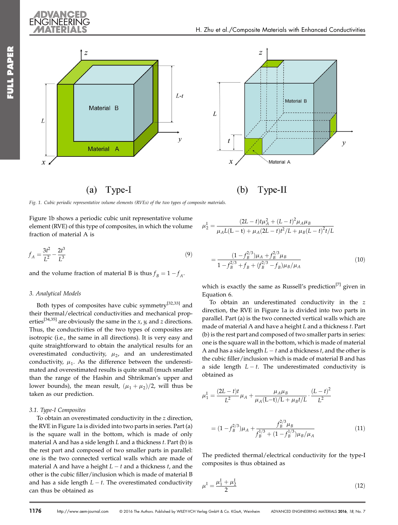

Fig. 1. Cubic periodic representative volume elements (RVEs) of the two types of composite materials.

Figure 1b shows a periodic cubic unit representative volume element (RVE) of this type of composites, in which the volume fraction of material A is

$$
f_A = \frac{3t^2}{L^2} - \frac{2t^3}{L^3} \tag{9}
$$

and the volume fraction of material B is thus  $f_B = 1 - f_A$ .

# 3. Analytical Models

Both types of composites have cubic symmetry<sup>[32,33]</sup> and their thermal/electrical conductivities and mechanical properties<sup>[34,35]</sup> are obviously the same in the *x*, *y*, and *z* directions. Thus, the conductivities of the two types of composites are isotropic (i.e., the same in all directions). It is very easy and quite straightforward to obtain the analytical results for an overestimated conductivity,  $\mu_2$ , and an underestimated conductivity,  $\mu_1$ . As the difference between the underestimated and overestimated results is quite small (much smaller than the range of the Hashin and Shtrikman's upper and lower bounds), the mean result,  $(\mu_1 + \mu_2)/2$ , will thus be taken as our prediction.

# 3.1. Type-I Composites

To obtain an overestimated conductivity in the z direction, the RVE in Figure 1a is divided into two parts in series. Part (a) is the square wall in the bottom, which is made of only material A and has a side length  $L$  and a thickness  $t$ . Part (b) is the rest part and composed of two smaller parts in parallel: one is the two connected vertical walls which are made of material A and have a height  $L-t$  and a thickness  $t$ , and the other is the cubic filler/inclusion which is made of material B and has a side length  $L - t$ . The overestimated conductivity can thus be obtained as

$$
\mu_2^{\text{I}} = \frac{(2L-t)t\mu_A^2 + (L-t)^2 \mu_A \mu_B}{\mu_A L (L-t) + \mu_A (2L-t)^2 / L + \mu_B (L-t)^2 t / L}
$$

$$
=\frac{(1-f_B^{2/3})\mu_A+f_B^{2/3}\mu_B}{1-f_B^{2/3}+f_B+(f_B^{2/3}-f_B)\mu_B/\mu_A}
$$
(10)

which is exactly the same as Russell's prediction<sup>[7]</sup> given in Equation 6.

To obtain an underestimated conductivity in the z direction, the RVE in Figure 1a is divided into two parts in parallel. Part (a) is the two connected vertical walls which are made of material A and have a height L and a thickness t. Part (b) is the rest part and composed of two smaller parts in series: one is the square wall in the bottom, which is made of material A and has a side length  $L-t$  and a thickness  $t$ , and the other is the cubic filler/inclusion which is made of material B and has a side length  $L - t$ . The underestimated conductivity is obtained as

$$
\mu_1^{\text{I}} = \frac{(2L - t)t}{L^2} \mu_A + \frac{\mu_A \mu_B}{\mu_A (L - t)/L + \mu_B t/L} \cdot \frac{(L - t)^2}{L^2}
$$

$$
= (1 - f_B^{2/3})\mu_A + \frac{f_B^{2/3}\mu_B}{f_B^{1/3} + (1 - f_B^{1/3})\mu_B/\mu_A}
$$
(11)

The predicted thermal/electrical conductivity for the type-I composites is thus obtained as

$$
\mu^{\text{I}} = \frac{\mu_1^{\text{I}} + \mu_2^{\text{I}}}{2} \tag{12}
$$

FULL PAPER FULL PAPER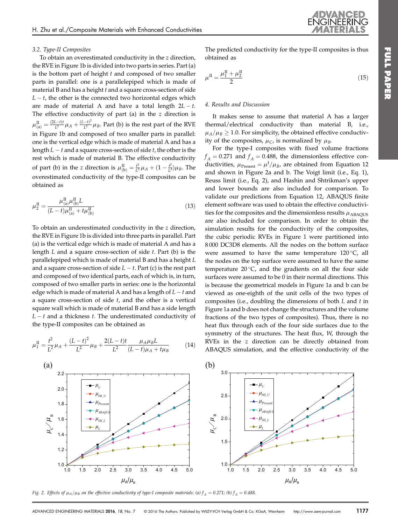### 3.2. Type-II Composites

To obtain an overestimated conductivity in the z direction, the RVE in Figure 1b is divided into two parts in series. Part (a) is the bottom part of height  $t$  and composed of two smaller parts in parallel: one is a parallelepiped which is made of material B and has a height  $t$  and a square cross-section of side  $L - t$ , the other is the connected two horizontal edges which are made of material A and have a total length  $2L - t$ . The effective conductivity of part (a) in the  $z$  direction is  $\mu_{\text{(a)}}^{\text{II}} = \frac{(2L-t)t}{L^2} \mu_A + \frac{(L-t)^2}{L^2} \mu_B$ . Part (b) is the rest part of the RVE in Figure 1b and composed of two smaller parts in parallel: one is the vertical edge which is made of material A and has a length  $L-t$  and a square cross-section of side  $t$ , the other is the rest which is made of material B. The effective conductivity of part (b) in the z direction is  $\mu_{(b)}^{\text{II}} = \frac{t^2}{L^2}\mu_A + (1 - \frac{t^2}{L^2})\mu_B$ . The overestimated conductivity of the type-II composites can be obtained as

$$
\mu_2^{\text{II}} = \frac{\mu_{\text{(a)}}^{\text{II}} \mu_{\text{(b)}}^{\text{II}} L}{(L - t)\mu_{\text{(a)}}^{\text{II}} + t\mu_{\text{(b)}}^{\text{II}}}
$$
(13)

To obtain an underestimated conductivity in the z direction, the RVE in Figure 1b is divided into three parts in parallel. Part (a) is the vertical edge which is made of material A and has a length  $L$  and a square cross-section of side  $t$ . Part (b) is the parallelepiped which is made of material B and has a height L and a square cross-section of side  $L - t$ . Part (c) is the rest part and composed of two identical parts, each of which is, in turn, composed of two smaller parts in series: one is the horizontal edge which is made of material A and has a length of  $L$  –  $t$  and a square cross-section of side  $t$ , and the other is a vertical square wall which is made of material B and has a side length  $L - t$  and a thickness  $t$ . The underestimated conductivity of the type-II composites can be obtained as

$$
\mu_1^{\text{II}} = \frac{t^2}{L^2} \mu_A + \frac{(L-t)^2}{L^2} \mu_B + \frac{2(L-t)t}{L^2} \frac{\mu_A \mu_B L}{(L-t)\mu_A + t\mu_B} \tag{14}
$$

The predicted conductivity for the type-II composites is thus obtained as

ENGINEERIP

$$
\mu^{\mathrm{II}} = \frac{\mu_1^{\mathrm{II}} + \mu_2^{\mathrm{II}}}{2} \tag{15}
$$

### 4. Results and Discussion

It makes sense to assume that material A has a larger thermal/electrical conductivity than material B, i.e.,  $\mu_A/\mu_B \geq 1.0$ . For simplicity, the obtained effective conductivity of the composites,  $\mu_C$ , is normalized by  $\mu_B$ .

For the type-I composites with fixed volume fractions  $f_A = 0.271$  and  $f_A = 0.488$ , the dimensionless effective conductivities,  $\mu_{\text{Present}} = \mu^{\text{I}}/\mu_{\text{B}}$ , are obtained from Equation 12 and shown in Figure 2a and b. The Voigt limit (i.e., Eq. 1), Reuss limit (i.e., Eq. 2), and Hashin and Shtrikman's upper and lower bounds are also included for comparison. To validate our predictions from Equation 12, ABAQUS finite element software was used to obtain the effective conductivities for the composites and the dimensionless results  $\mu$ <sub>ABAQUS</sub> are also included for comparison. In order to obtain the simulation results for the conductivity of the composites, the cubic periodic RVEs in Figure 1 were partitioned into 8 000 DC3D8 elements. All the nodes on the bottom surface were assumed to have the same temperature  $120^{\circ}$ C, all the nodes on the top surface were assumed to have the same temperature  $20^{\circ}$ C, and the gradients on all the four side surfaces were assumed to be 0 in their normal directions. This is because the geometrical models in Figure 1a and b can be viewed as one-eighth of the unit cells of the two types of composites (i.e., doubling the dimensions of both  $L$  and  $t$  in Figure 1a and b does not change the structures and the volume fractions of the two types of composites). Thus, there is no heat flux through each of the four side surfaces due to the symmetry of the structures. The heat flux, W, through the RVEs in the z direction can be directly obtained from ABAQUS simulation, and the effective conductivity of the



Fig. 2. Effects of  $\mu_A/\mu_B$  on the effective conductivity of type-I composite materials: (a)  $f_A = 0.271$ ; (b)  $f_A = 0.488$ .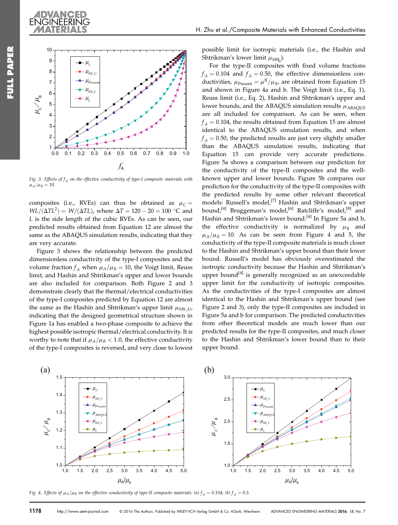



Fig. 3. Effects of  $f_A$  on the effective conductivity of type-I composite materials with  $\mu_A/\mu_B = 10$ .

composites (i.e., RVEs) can thus be obtained as  $\mu_C =$  $WL/(\Delta TL^2) = W/(\Delta TL)$ , where  $\Delta T = 120 - 20 = 100$  °C and L is the side length of the cubic RVEs. As can be seen, our predicted results obtained from Equation 12 are almost the same as the ABAQUS simulation results, indicating that they are very accurate.

Figure 3 shows the relationship between the predicted dimensionless conductivity of the type-I composites and the volume fraction  $f_A$  when  $\mu_A/\mu_B = 10$ , the Voigt limit, Reuss limit, and Hashin and Shtrikman's upper and lower bounds are also included for comparison. Both Figure 2 and 3 demonstrate clearly that the thermal/electrical conductivities of the type-I composites predicted by Equation 12 are almost the same as the Hashin and Shtrikman's upper limit  $\mu_{\rm HS~U}$ , indicating that the designed geometrical structure shown in Figure 1a has enabled a two-phase composite to achieve the highest possible isotropic thermal/electrical conductivity. It is worthy to note that if  $\mu_A/\mu_B < 1.0$ , the effective conductivity of the type-I composites is reversed, and very close to lowest

possible limit for isotropic materials (i.e., the Hashin and Shtrikman's lower limit  $\mu_{\text{HSL}}$ ).

For the type-II composites with fixed volume fractions  $f_A = 0.104$  and  $f_A = 0.50$ , the effective dimensionless conductivities,  $\mu_{\text{Present}} = \mu^{\text{II}}/\mu_B$ , are obtained from Equation 15 and shown in Figure 4a and b. The Voigt limit (i.e., Eq. 1), Reuss limit (i.e., Eq. 2), Hashin and Shtrikman's upper and lower bounds, and the ABAQUS simulation results  $\mu$ <sub>ABAQUS</sub> are all included for comparison. As can be seen, when  $f_A = 0.104$ , the results obtained from Equation 15 are almost identical to the ABAQUS simulation results, and when  $f_A = 0.50$ , the predicted results are just very slightly smaller than the ABAQUS simulation results, indicating that Equation 15 can provide very accurate predictions. Figure 5a shows a comparison between our prediction for the conductivity of the type-II composites and the wellknown upper and lower bounds. Figure 5b compares our prediction for the conductivity of the type-II composites with the predicted results by some other relevant theoretical models: Russell's model,<sup>[7]</sup> Hashin and Shtrikman's upper bound,<sup>[4]</sup> Bruggeman's model,<sup>[6]</sup> Ratcliffe's model,<sup>[8]</sup> and Hashin and Shtrikman's lower bound.<sup>[4]</sup> In Figure 5a and b, the effective conductivity is normalized by  $\mu_B$  and  $\mu_A/\mu_B = 10$ . As can be seen from Figure 4 and 5, the conductivity of the type-II composite materials is much closer to the Hashin and Shtrikman's upper bound than their lower bound. Russell's model has obviously overestimated the isotropic conductivity because the Hashin and Shtrikman's upper bound<sup>[4]</sup> is generally recognized as an unexceedable upper limit for the conductivity of isotropic composites. As the conductivities of the type-I composites are almost identical to the Hashin and Shtrikman's upper bound (see Figure 2 and 3), only the type-II composites are included in Figure 5a and b for comparison. The predicted conductivities from other theoretical models are much lower than our predicted results for the type-II composites, and much closer to the Hashin and Shtrikman's lower bound than to their upper bound.



Fig. 4. Effects of  $\mu_A/\mu_B$  on the effective conductivity of type-II composite materials: (a)  $f_A = 0.104$ ; (b)  $f_A = 0.5$ .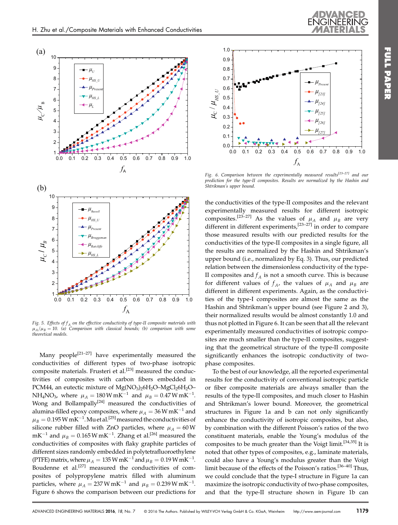



Fig. 5. Effects of  $f_A$  on the effective conductivity of type-II composite materials with  $\mu_A/\mu_B = 10$ . (a) Comparison with classical bounds; (b) comparison with some theoretical models.

Many people<sup>[21-27]</sup> have experimentally measured the conductivities of different types of two-phase isotropic composite materials. Frusteri et al. $^{[23]}$  measured the conductivities of composites with carbon fibers embedded in PCM44, an eutectic mixture of Mg(NO<sub>3</sub>)<sub>2</sub>6H<sub>2</sub>O–MgCl<sub>2</sub>6H<sub>2</sub>O– NH<sub>4</sub>NO<sub>3</sub>, where  $\mu_A = 180 \text{ W mK}^{-1}$  and  $\mu_B = 0.47 \text{ W mK}^{-1}$ . Wong and Bollampally<sup>[24]</sup> measured the conductivities of alumina-filled epoxy composites, where  $\mu_A = 36$  W mK<sup>-1</sup> and  $\mu_B = 0.195 \, \text{W mK}^{-1}$ . Mu et al.<sup>[25]</sup> measured the conductivities of silicone rubber filled with ZnO particles, where  $\mu_A = 60$  W  $mK^{-1}$  and  $\mu_B = 0.165 W mK^{-1}$ . Zhang et al.<sup>[26]</sup> measured the conductivities of composites with flaky graphite particles of different sizes randomly embedded in polytetrafluoroethylene (PTFE) matrix, where  $\mu_A = 135$  W mK<sup>-1</sup> and  $\mu_B = 0.19$  W mK<sup>-1</sup>. Boudenne et al.<sup>[27]</sup> measured the conductivities of composites of polypropylene matrix filled with aluminum particles, where  $\mu_A = 237 \,\mathrm{W} \,\mathrm{mK}^{-1}$  and  $\mu_B = 0.239 \,\mathrm{W} \,\mathrm{mK}^{-1}$ . Figure 6 shows the comparison between our predictions for



Fig. 6. Comparison between the experimentally measured results<sup>[23–27]</sup> and our prediction for the type-II composites. Results are normalized by the Hashin and Shtrikman's upper bound.

the conductivities of the type-II composites and the relevant experimentally measured results for different isotropic composites.<sup>[23–27]</sup> As the values of  $\mu_A$  and  $\mu_B$  are very different in different experiments,<sup>[23–27]</sup> in order to compare those measured results with our predicted results for the conductivities of the type-II composites in a single figure, all the results are normalized by the Hashin and Shtrikman's upper bound (i.e., normalized by Eq. 3). Thus, our predicted relation between the dimensionless conductivity of the type-II composites and  $f_A$  is not a smooth curve. This is because for different values of  $f_A$ , the values of  $\mu_A$  and  $\mu_B$  are different in different experiments. Again, as the conductivities of the type-I composites are almost the same as the Hashin and Shtrikman's upper bound (see Figure 2 and 3), their normalized results would be almost constantly 1.0 and thus not plotted in Figure 6. It can be seen that all the relevant experimentally measured conductivities of isotropic composites are much smaller than the type-II composites, suggesting that the geometrical structure of the type-II composite significantly enhances the isotropic conductivity of twophase composites.

To the best of our knowledge, all the reported experimental results for the conductivity of conventional isotropic particle or fiber composite materials are always smaller than the results of the type-II composites, and much closer to Hashin and Shtrikman's lower bound. Moreover, the geometrical structures in Figure 1a and b can not only significantly enhance the conductivity of isotropic composites, but also, by combination with the different Poisson's ratios of the two constituent materials, enable the Young's modulus of the composites to be much greater than the Voigt limit.<sup>[34,35]</sup> It is noted that other types of composites, e.g., laminate materials, could also have a Young's modulus greater than the Voigt limit because of the effects of the Poisson's ratios.[36–40] Thus, we could conclude that the type-I structure in Figure 1a can maximize the isotropic conductivity of two-phase composites, and that the type-II structure shown in Figure 1b can